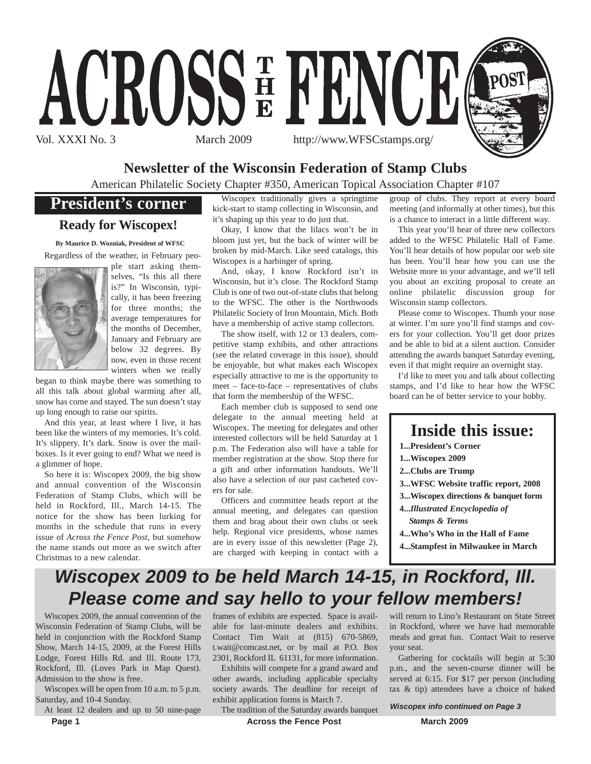

## **Newsletter of the Wisconsin Federation of Stamp Clubs**

American Philatelic Society Chapter #350, American Topical Association Chapter #107

## **President's corner**

### **Ready for Wiscopex!**

**By Maurice D. Wozniak, President of WFSC** Regardless of the weather, in February peo-



ple start asking themselves, "Is this all there is?" In Wisconsin, typically, it has been freezing for three months; the average temperatures for the months of December, January and February are below 32 degrees. By now, even in those recent winters when we really

began to think maybe there was something to all this talk about global warming after all, snow has come and stayed. The sun doesn't stay up long enough to raise our spirits.

And this year, at least where I live, it has been like the winters of my memories. It's cold. It's slippery. It's dark. Snow is over the mailboxes. Is it ever going to end? What we need is a glimmer of hope.

So here it is: Wiscopex 2009, the big show and annual convention of the Wisconsin Federation of Stamp Clubs, which will be held in Rockford, Ill., March 14-15. The notice for the show has been lurking for months in the schedule that runs in every issue of *Across the Fence Post*, but somehow the name stands out more as we switch after Christmas to a new calendar.

Wiscopex traditionally gives a springtime kick-start to stamp collecting in Wisconsin, and it's shaping up this year to do just that.

Okay, I know that the lilacs won't be in bloom just yet, but the back of winter will be broken by mid-March. Like seed catalogs, this Wiscopex is a harbinger of spring.

And, okay, I know Rockford isn't in Wisconsin, but it's close. The Rockford Stamp Club is one of two out-of-state clubs that belong to the WFSC. The other is the Northwoods Philatelic Society of Iron Mountain, Mich. Both have a membership of active stamp collectors.

The show itself, with 12 or 13 dealers, competitive stamp exhibits, and other attractions (see the related coverage in this issue), should be enjoyable, but what makes each Wiscopex especially attractive to me is the opportunity to meet – face-to-face – representatives of clubs that form the membership of the WFSC.

Each member club is supposed to send one delegate to the annual meeting held at Wiscopex. The meeting for delegates and other interested collectors will be held Saturday at 1 p.m. The Federation also will have a table for member registration at the show. Stop there for a gift and other information handouts. We'll also have a selection of our past cacheted covers for sale.

Officers and committee heads report at the annual meeting, and delegates can question them and brag about their own clubs or seek help. Regional vice presidents, whose names are in every issue of this newsletter (Page 2), are charged with keeping in contact with a

group of clubs. They report at every board meeting (and informally at other times), but this is a chance to interact in a little different way.

This year you'll hear of three new collectors added to the WFSC Philatelic Hall of Fame. You'll hear details of how popular our web site has been. You'll hear how you can use the Website more to your advantage, and we'll tell you about an exciting proposal to create an online philatelic discussion group for Wisconsin stamp collectors.

Please come to Wiscopex. Thumb your nose at winter. I'm sure you'll find stamps and covers for your collection. You'll get door prizes and be able to bid at a silent auction. Consider attending the awards banquet Saturday evening, even if that might require an overnight stay.

I'd like to meet you and talk about collecting stamps, and I'd like to hear how the WFSC board can be of better service to your hobby.



- **4...***Illustrated Encyclopedia of Stamps & Terms*
- **4...Who's Who in the Hall of Fame**
- **4...Stampfest in Milwaukee in March**

## *Wiscopex 2009 to be held March 14-15, in Rockford, Ill. Please come and say hello to your fellow members!*

Wiscopex 2009, the annual convention of the Wisconsin Federation of Stamp Clubs, will be held in conjunction with the Rockford Stamp Show, March 14-15, 2009, at the Forest Hills Lodge, Forest Hills Rd. and Ill. Route 173, Rockford, Ill. (Loves Park in Map Quest). Admission to the show is free.

Wiscopex will be open from 10 a.m. to 5 p.m. Saturday, and 10-4 Sunday.

**Page 1** March 2009 **Across the Fence Post** March 2009 At least 12 dealers and up to 50 nine-page

frames of exhibits are expected. Space is available for last-minute dealers and exhibits. Contact Tim Wait at (815) 670-5869, t.wait@comcast.net, or by mail at P.O. Box 2301, Rockford IL 61131, for more information.

Exhibits will compete for a grand award and other awards, including applicable specialty society awards. The deadline for receipt of exhibit application forms is March 7.

The tradition of the Saturday awards banquet

will return to Lino's Restaurant on State Street in Rockford, where we have had memorable meals and great fun. Contact Wait to reserve your seat.

Gathering for cocktails will begin at 5:30 p.m., and the seven-course dinner will be served at 6:15. For \$17 per person (including tax & tip) attendees have a choice of baked

*Wiscopex info continued on Page 3*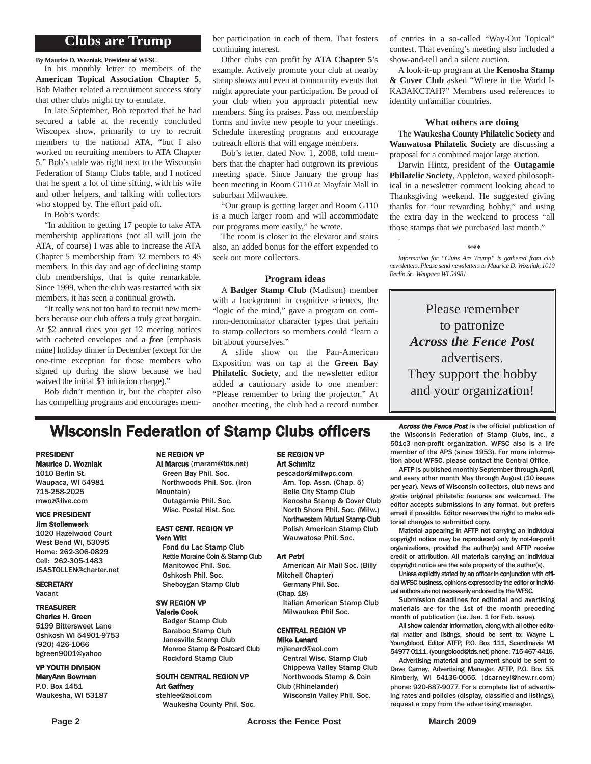## **Clubs are Trump**

**By Maurice D. Wozniak, President of WFSC**

In his monthly letter to members of the **American Topical Association Chapter 5**, Bob Mather related a recruitment success story that other clubs might try to emulate.

In late September, Bob reported that he had secured a table at the recently concluded Wiscopex show, primarily to try to recruit members to the national ATA, "but I also worked on recruiting members to ATA Chapter 5." Bob's table was right next to the Wisconsin Federation of Stamp Clubs table, and I noticed that he spent a lot of time sitting, with his wife and other helpers, and talking with collectors who stopped by. The effort paid off.

In Bob's words:

"In addition to getting 17 people to take ATA membership applications (not all will join the ATA, of course) I was able to increase the ATA Chapter 5 membership from 32 members to 45 members. In this day and age of declining stamp club memberships, that is quite remarkable. Since 1999, when the club was restarted with six members, it has seen a continual growth.

"It really was not too hard to recruit new members because our club offers a truly great bargain. At \$2 annual dues you get 12 meeting notices with cacheted envelopes and a *free* [emphasis mine] holiday dinner in December (except for the one-time exception for those members who signed up during the show because we had waived the initial \$3 initiation charge)."

Bob didn't mention it, but the chapter also has compelling programs and encourages member participation in each of them. That fosters continuing interest.

Other clubs can profit by **ATA Chapter 5**'s example. Actively promote your club at nearby stamp shows and even at community events that might appreciate your participation. Be proud of your club when you approach potential new members. Sing its praises. Pass out membership forms and invite new people to your meetings. Schedule interesting programs and encourage outreach efforts that will engage members.

Bob's letter, dated Nov. 1, 2008, told members that the chapter had outgrown its previous meeting space. Since January the group has been meeting in Room G110 at Mayfair Mall in suburban Milwaukee.

"Our group is getting larger and Room G110 is a much larger room and will accommodate our programs more easily," he wrote.

The room is closer to the elevator and stairs also, an added bonus for the effort expended to seek out more collectors.

#### **Program ideas**

A **Badger Stamp Club** (Madison) member with a background in cognitive sciences, the "logic of the mind," gave a program on common-denominator character types that pertain to stamp collectors so members could "learn a bit about yourselves."

A slide show on the Pan-American Exposition was on tap at the **Green Bay Philatelic Society**, and the newsletter editor added a cautionary aside to one member: "Please remember to bring the projector." At another meeting, the club had a record number of entries in a so-called "Way-Out Topical" contest. That evening's meeting also included a show-and-tell and a silent auction.

A look-it-up program at the **Kenosha Stamp & Cover Club** asked "Where in the World Is KA3AKCTAH?" Members used references to identify unfamiliar countries.

#### **What others are doing**

The **Waukesha County Philatelic Society** and **Wauwatosa Philatelic Society** are discussing a proposal for a combined major large auction.

Darwin Hintz, president of the **Outagamie Philatelic Society**, Appleton, waxed philosophical in a newsletter comment looking ahead to Thanksgiving weekend. He suggested giving thanks for "our rewarding hobby," and using the extra day in the weekend to process "all those stamps that we purchased last month."

**\*\*\***

.

*Information for "Clubs Are Trump" is gathered from club newsletters. Please send newsletters to Maurice D. Wozniak, 1010 Berlin St., Waupaca WI 54981.*

Please remember to patronize *Across the Fence Post* advertisers. They support the hobby and your organization!

## **Wisconsin Federation of Stamp Clubs officers** *Across the Fence Post* is the official publication of stamp Clubs, Inc., a

#### PRESIDENT Maurice D. Wozniak

1010 Berlin St. Waupaca, WI 54981 715-258-2025 mwoz@live.com

#### VICE PRESIDENT Jim Stollenwerk

1020 Hazelwood Court West Bend WI, 53095 Home: 262-306-0829 Cell: 262-305-1483 JSASTOLLEN@charter.net

**SECRETARY** Vacant

#### TREASURER Charles H. Green

5199 Bittersweet Lane Oshkosh WI 54901-9753 (920) 426-1066 bgreen9001@yahoo

#### VP YOUTH DIVISION MaryAnn Bowman P.O. Box 1451 Waukesha, WI 53187

#### NE REGION VP

Al Marcus (maram@tds.net) Green Bay Phil. Soc. Northwoods Phil. Soc. (Iron Mountain)

Outagamie Phil. Soc. Wisc. Postal Hist. Soc.

#### EAST CENT. REGION VP Vern Witt

Fond du Lac Stamp Club Kettle Moraine Coin & Stamp Club Manitowoc Phil. Soc. Oshkosh Phil. Soc. Sheboygan Stamp Club

#### SW REGION VP

Valerie Cook Badger Stamp Club Baraboo Stamp Club Janesville Stamp Club Monroe Stamp & Postcard Club Rockford Stamp Club

#### SOUTH CENTRAL REGION VP Art Gaffney stehlee@aol.com

Waukesha County Phil. Soc.

#### SE REGION VP Art Schmitz

pescador@milwpc.com Am. Top. Assn. (Chap. 5) Belle City Stamp Club Kenosha Stamp & Cover Club North Shore Phil. Soc. (Milw.) Northwestern Mutual Stamp Club Polish American Stamp Club Wauwatosa Phil. Soc.

#### Art Petri

American Air Mail Soc. (Billy Mitchell Chapter)

Germany Phil. Soc. (Chap. 18)

Italian American Stamp Club Milwaukee Phil Soc.

#### CENTRAL REGION VP Mike Lenard

mjlenard@aol.com Central Wisc. Stamp Club

- Chippewa Valley Stamp Club Northwoods Stamp & Coin Club (Rhinelander)
- Wisconsin Valley Phil. Soc.

the Wisconsin Federation of Stamp Clubs, Inc., a 501c3 non-profit organization. WFSC also is a life member of the APS (since 1953). For more information about WFSC, please contact the Central Office.

AFTP is published monthly September through April, and every other month May through August (10 issues per year). News of Wisconsin collectors, club news and gratis original philatelic features are welcomed. The editor accepts submissions in any format, but prefers email if possible. Editor reserves the right to make editorial changes to submitted copy.

Material appearing in AFTP not carrying an individual copyright notice may be reproduced only by not-for-profit organizations, provided the author(s) and AFTP receive credit or attribution. All materials carrying an individual copyright notice are the sole property of the author(s).

Unless explicitly stated by an officer in conjunction with official WFSC business, opinions expressed by the editor or individual authors are not necessarily endorsed by the WFSC.

Submission deadlines for editorial and avertising materials are for the 1st of the month preceding month of publication (i.e. Jan. 1 for Feb. issue).

All show calendar information, along with all other editorial matter and listings, should be sent to: Wayne L. Youngblood, Editor ATFP, P.O. Box 111, Scandinavia WI 54977-0111. (youngblood@tds.net) phone: 715-467-4416.

Advertising material and payment should be sent to Dave Carney, Advertising Manager, AFTP, P.O. Box 55, Kimberly, WI 54136-0055. (dcarneyl@new.rr.com) phone: 920-687-9077. For a complete list of advertising rates and policies (display, classified and listings), request a copy from the advertising manager.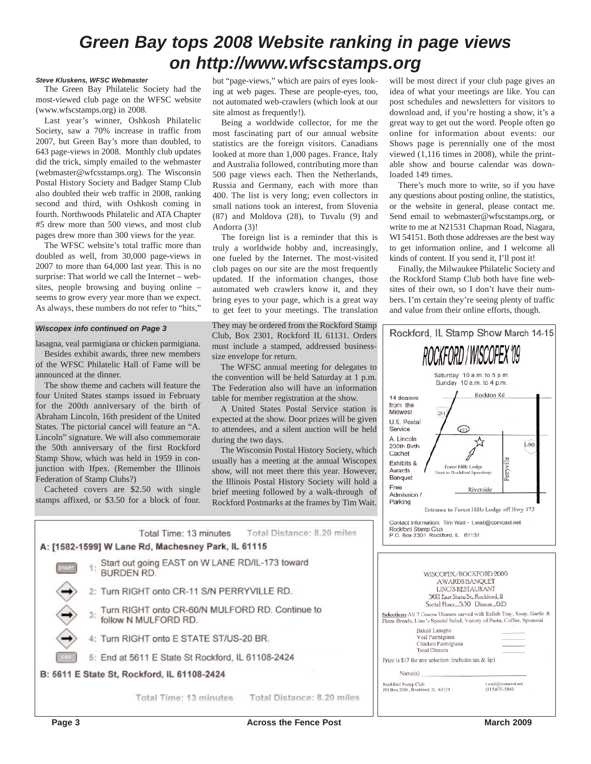## *Green Bay tops 2008 Website ranking in page views on http://www.wfscstamps.org*

#### *Steve Kluskens, WFSC Webmaster*

The Green Bay Philatelic Society had the most-viewed club page on the WFSC website (www.wfscstamps.org) in 2008.

Last year's winner, Oshkosh Philatelic Society, saw a 70% increase in traffic from 2007, but Green Bay's more than doubled, to 643 page-views in 2008. Monthly club updates did the trick, simply emailed to the webmaster (webmaster@wfcsstamps.org). The Wisconsin Postal History Society and Badger Stamp Club also doubled their web traffic in 2008, ranking second and third, with Oshkosh coming in fourth. Northwoods Philatelic and ATA Chapter #5 drew more than 500 views, and most club pages drew more than 300 views for the year.

The WFSC website's total traffic more than doubled as well, from 30,000 page-views in 2007 to more than 64,000 last year. This is no surprise: That world we call the Internet – websites, people browsing and buying online – seems to grow every year more than we expect. As always, these numbers do not refer to "hits,"

#### *Wiscopex info continued on Page 3*

lasagna, veal parmigiana or chicken parmigiana.

Besides exhibit awards, three new members of the WFSC Philatelic Hall of Fame will be announced at the dinner.

The show theme and cachets will feature the four United States stamps issued in February for the 200th anniversary of the birth of Abraham Lincoln, 16th president of the United States. The pictorial cancel will feature an "A. Lincoln" signature. We will also commemorate the 50th anniversary of the first Rockford Stamp Show, which was held in 1959 in conjunction with Ifpex. (Remember the Illinois Federation of Stamp Clubs?)

Cacheted covers are \$2.50 with single stamps affixed, or \$3.50 for a block of four.

but "page-views," which are pairs of eyes looking at web pages. These are people-eyes, too, not automated web-crawlers (which look at our site almost as frequently!).

Being a worldwide collector, for me the most fascinating part of our annual website statistics are the foreign visitors. Canadians looked at more than 1,000 pages. France, Italy and Australia followed, contributing more than 500 page views each. Then the Netherlands, Russia and Germany, each with more than 400. The list is very long; even collectors in small nations took an interest, from Slovenia (87) and Moldova (28), to Tuvalu (9) and Andorra (3)!

The foreign list is a reminder that this is truly a worldwide hobby and, increasingly, one fueled by the Internet. The most-visited club pages on our site are the most frequently updated. If the information changes, those automated web crawlers know it, and they bring eyes to your page, which is a great way to get feet to your meetings. The translation

They may be ordered from the Rockford Stamp Club, Box 2301, Rockford IL 61131. Orders must include a stamped, addressed businesssize envelope for return.

The WFSC annual meeting for delegates to the convention will be held Saturday at 1 p.m. The Federation also will have an information table for member registration at the show.

A United States Postal Service station is expected at the show. Door prizes will be given to attendees, and a silent auction will be held during the two days.

The Wisconsin Postal History Society, which usually has a meeting at the annual Wiscopex show, will not meet there this year. However, the Illinois Postal History Society will hold a brief meeting followed by a walk-through of Rockford Postmarks at the frames by Tim Wait.

Total Time: 13 minutes Total Distance: 8.20 miles A: [1582-1599] W Lane Rd, Machesney Park, IL 61115 Start out going EAST on W LANE RD/IL-173 toward **BURDEN RD.** 2: Turn RIGHT onto CR-11 S/N PERRYVILLE RD. Turn RIGHT onto CR-60/N MULFORD RD. Continue to  $3:$ follow N MULFORD RD. 4: Turn RIGHT onto E STATE ST/US-20 BR. 5: End at 5611 E State St Rockford, IL 61108-2424 B: 5611 E State St, Rockford, IL 61108-2424 Total Time: 13 minutes Total Distance: 8.20 miles

will be most direct if your club page gives an idea of what your meetings are like. You can post schedules and newsletters for visitors to download and, if you're hosting a show, it's a great way to get out the word. People often go online for information about events: our Shows page is perennially one of the most viewed (1,116 times in 2008), while the printable show and bourse calendar was downloaded 149 times.

There's much more to write, so if you have any questions about posting online, the statistics, or the website in general, please contact me. Send email to webmaster@wfscstamps.org, or write to me at N21531 Chapman Road, Niagara, WI 54151. Both those addresses are the best way to get information online, and I welcome all kinds of content. If you send it, I'll post it!

Finally, the Milwaukee Philatelic Society and the Rockford Stamp Club both have fine websites of their own, so I don't have their numbers. I'm certain they're seeing plenty of traffic and value from their online efforts, though.



| LINO'S RESTAURANT<br>5611 East State St., Rockford, Il                                                                                           |                                     |
|--------------------------------------------------------------------------------------------------------------------------------------------------|-------------------------------------|
| Social Hour, 5.30 Dinner, 6.15                                                                                                                   |                                     |
| Selections All 7 Course Dinners served with Relish Tray, Soup, Garlic &<br>Pizza Breads, Lino's Special Salad, Variety of Pasta, Coffee, Spumoni |                                     |
| Baked Lasagna<br>Veal Parmigiana<br>Chicken Parmigiana<br><b>Total Dinners</b>                                                                   |                                     |
| Price is \$17 for any selection (includes tax & tip)                                                                                             |                                     |
| Name(s)                                                                                                                                          |                                     |
| Rockford Stamp Club<br>PO Box 2301, Rockford, IL 61131                                                                                           | t.wait@comcast.net<br>(815)670-5869 |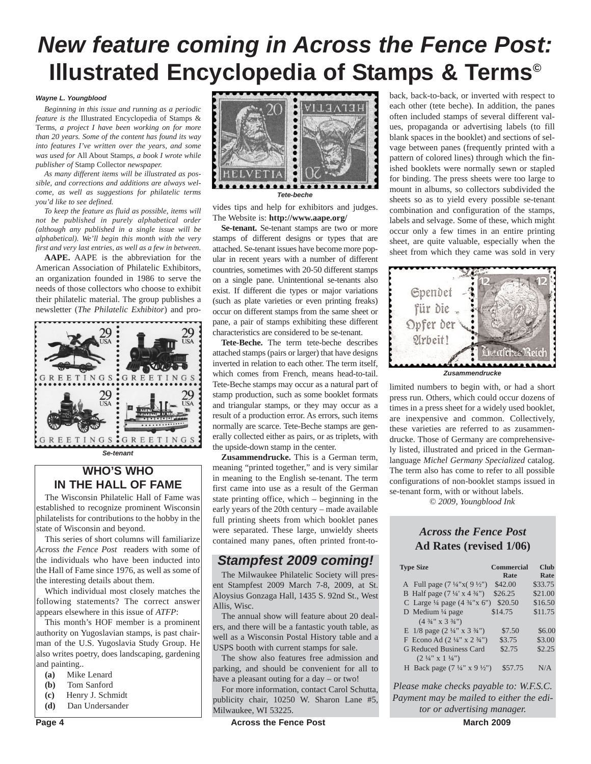# *New feature coming in Across the Fence Post:* **Illustrated Encyclopedia of Stamps & Terms©**

#### *Wayne L. Youngblood*

*Beginning in this issue and running as a periodic feature is the* Illustrated Encyclopedia of Stamps & Terms*, a project I have been working on for more than 20 years. Some of the content has found its way into features I've written over the years, and some was used for* All About Stamps*, a book I wrote while publisher of* Stamp Collector *newspaper.*

*As many different items will be illustrated as possible, and corrections and additions are always welcome, as well as suggestions for philatelic terms you'd like to see defined.*

*To keep the feature as fluid as possible, items will not be published in purely alphabetical order (although any published in a single issue will be alphabetical). We'll begin this month with the very first and very last entries, as well as a few in between.*

**AAPE.** AAPE is the abbreviation for the American Association of Philatelic Exhibitors, an organization founded in 1986 to serve the needs of those collectors who choose to exhibit their philatelic material. The group publishes a newsletter (*The Philatelic Exhibitor*) and pro-



## **WHO'S WHO IN THE HALL OF FAME**

The Wisconsin Philatelic Hall of Fame was established to recognize prominent Wisconsin philatelists for contributions to the hobby in the state of Wisconsin and beyond.

This series of short columns will familiarize *Across the Fence Post* readers with some of the individuals who have been inducted into the Hall of Fame since 1976, as well as some of the interesting details about them.

Which individual most closely matches the following statements? The correct answer appears elsewhere in this issue of *ATFP*:

This month's HOF member is a prominent authority on Yugoslavian stamps, is past chairman of the U.S. Yugoslavia Study Group. He also writes poetry, does landscaping, gardening and painting..

- **(a)** Mike Lenard
- **(b)** Tom Sanford
- **(c)** Henry J. Schmidt
- **(d)** Dan Undersander



vides tips and help for exhibitors and judges. The Website is: **http://www.aape.org/**

**Se-tenant.** Se-tenant stamps are two or more stamps of different designs or types that are attached. Se-tenant issues have become more popular in recent years with a number of different countries, sometimes with 20-50 different stamps on a single pane. Unintentional se-tenants also exist. If different die types or major variations (such as plate varieties or even printing freaks) occur on different stamps from the same sheet or pane, a pair of stamps exhibiting these different characteristics are considered to be se-tenant.

**Tete-Beche.** The term tete-beche describes attached stamps (pairs or larger) that have designs inverted in relation to each other. The term itself, which comes from French, means head-to-tail. Tete-Beche stamps may occur as a natural part of stamp production, such as some booklet formats and triangular stamps, or they may occur as a result of a production error. As errors, such items normally are scarce. Tete-Beche stamps are generally collected either as pairs, or as triplets, with the upside-down stamp in the center.

**Zusammendrucke.** This is a German term, meaning "printed together," and is very similar in meaning to the English se-tenant. The term first came into use as a result of the German state printing office, which – beginning in the early years of the 20th century – made available full printing sheets from which booklet panes were separated. These large, unwieldy sheets contained many panes, often printed front-to-

### *Stampfest 2009 coming!*

The Milwaukee Philatelic Society will present Stampfest 2009 March 7-8, 2009, at St. Aloysius Gonzaga Hall, 1435 S. 92nd St., West Allis, Wisc.

The annual show will feature about 20 dealers, and there will be a fantastic youth table, as well as a Wisconsin Postal History table and a USPS booth with current stamps for sale.

The show also features free admission and parking, and should be convenient for all to have a pleasant outing for a day – or two!

For more information, contact Carol Schutta, publicity chair, 10250 W. Sharon Lane #5, Milwaukee, WI 53225.

back, back-to-back, or inverted with respect to each other (tete beche). In addition, the panes often included stamps of several different values, propaganda or advertising labels (to fill blank spaces in the booklet) and sections of selvage between panes (frequently printed with a pattern of colored lines) through which the finished booklets were normally sewn or stapled for binding. The press sheets were too large to mount in albums, so collectors subdivided the sheets so as to yield every possible se-tenant combination and configuration of the stamps, labels and selvage. Some of these, which might occur only a few times in an entire printing sheet, are quite valuable, especially when the sheet from which they came was sold in very



*Zusammendrucke*

limited numbers to begin with, or had a short press run. Others, which could occur dozens of times in a press sheet for a widely used booklet, are inexpensive and common. Collectively, these varieties are referred to as zusammendrucke. Those of Germany are comprehensively listed, illustrated and priced in the Germanlanguage *Michel Germany Specialized* catalog. The term also has come to refer to all possible configurations of non-booklet stamps issued in se-tenant form, with or without labels.

*© 2009, Youngblood Ink*

### *Across the Fence Post* **Ad Rates (revised 1/06)**

| <b>Type Size</b>                                   | Commercial | <b>Club</b> |
|----------------------------------------------------|------------|-------------|
|                                                    | Rate       | Rate        |
| A Full page $(7\frac{1}{4}x(9\frac{1}{2})$         | \$42.00    | \$33.75     |
| B Half page $(7\frac{1}{4} \times 4\frac{3}{4})$   | \$26.25    | \$21.00     |
| C Large $\frac{1}{4}$ page (4 $\frac{3}{4}$ "x 6") | \$20.50    | \$16.50     |
| D Medium $\frac{1}{4}$ page                        | \$14.75    | \$11.75     |
| $(4\frac{3}{4}$ " x 3 $\frac{3}{4}$ ")             |            |             |
| E $1/8$ page $(2\frac{1}{4}$ " x $3\frac{3}{4}$ ") | \$7.50     | \$6.00      |
| F Econo Ad $(2\frac{1}{4}$ " x $2\frac{3}{4}$ ")   | \$3.75     | \$3.00      |
| <b>G Reduced Business Card</b>                     | \$2.75     | \$2.25      |
| $(2 \frac{1}{4}$ " x 1 $\frac{1}{4}$ ")            |            |             |
| H Back page $(7\frac{1}{4}$ " x 9 $\frac{1}{2}$ ") | \$57.75    | N/A         |

*Please make checks payable to: W.F.S.C. Payment may be mailed to either the editor or advertising manager.*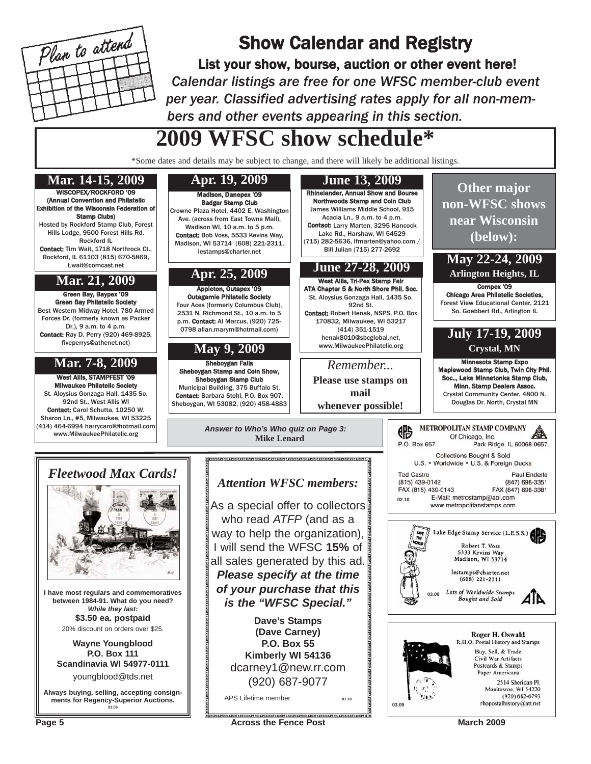

## Show Calendar and Registry

List your show, bourse, auction or other event here! *Calendar listings are free for one WFSC member-club event per year. Classified advertising rates apply for all non-members and other events appearing in this section.*

# **2009 WFSC show schedule\***

\*Some dates and details may be subject to change, and there will likely be additional listings.